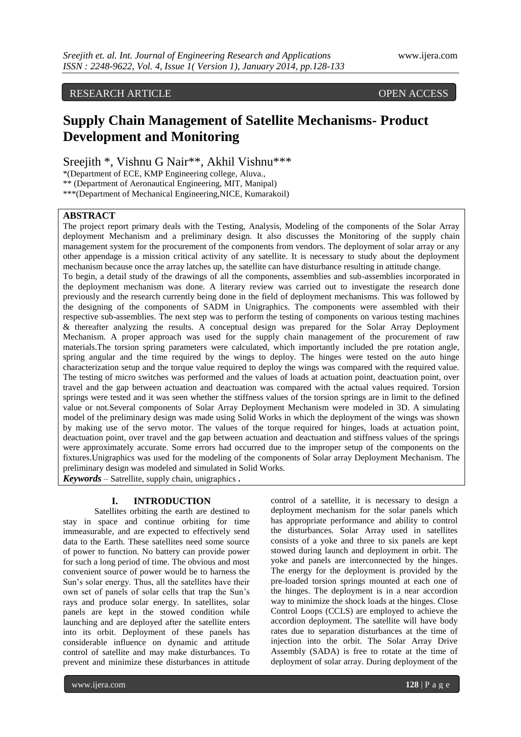# RESEARCH ARTICLE OPEN ACCESS

# **Supply Chain Management of Satellite Mechanisms- Product Development and Monitoring**

Sreejith \*, Vishnu G Nair\*\*, Akhil Vishnu\*\*\*

\*(Department of ECE, KMP Engineering college, Aluva.,

\*\* (Department of Aeronautical Engineering, MIT, Manipal)

\*\*\*(Department of Mechanical Engineering,NICE, Kumarakoil)

# **ABSTRACT**

The project report primary deals with the Testing, Analysis, Modeling of the components of the Solar Array deployment Mechanism and a preliminary design. It also discusses the Monitoring of the supply chain management system for the procurement of the components from vendors. The deployment of solar array or any other appendage is a mission critical activity of any satellite. It is necessary to study about the deployment mechanism because once the array latches up, the satellite can have disturbance resulting in attitude change. To begin, a detail study of the drawings of all the components, assemblies and sub-assemblies incorporated in the deployment mechanism was done. A literary review was carried out to investigate the research done previously and the research currently being done in the field of deployment mechanisms. This was followed by the designing of the components of SADM in Unigraphics. The components were assembled with their respective sub-assemblies. The next step was to perform the testing of components on various testing machines & thereafter analyzing the results. A conceptual design was prepared for the Solar Array Deployment Mechanism. A proper approach was used for the supply chain management of the procurement of raw materials.The torsion spring parameters were calculated, which importantly included the pre rotation angle, spring angular and the time required by the wings to deploy. The hinges were tested on the auto hinge characterization setup and the torque value required to deploy the wings was compared with the required value. The testing of micro switches was performed and the values of loads at actuation point, deactuation point, over travel and the gap between actuation and deactuation was compared with the actual values required. Torsion springs were tested and it was seen whether the stiffness values of the torsion springs are in limit to the defined value or not.Several components of Solar Array Deployment Mechanism were modeled in 3D. A simulating model of the preliminary design was made using Solid Works in which the deployment of the wings was shown by making use of the servo motor. The values of the torque required for hinges, loads at actuation point, deactuation point, over travel and the gap between actuation and deactuation and stiffness values of the springs were approximately accurate. Some errors had occurred due to the improper setup of the components on the fixtures.Unigraphics was used for the modeling of the components of Solar array Deployment Mechanism. The preliminary design was modeled and simulated in Solid Works.

*Keywords* – Satrellite, supply chain, unigraphics **.**

# **I. INTRODUCTION**

Satellites orbiting the earth are destined to stay in space and continue orbiting for time immeasurable, and are expected to effectively send data to the Earth. These satellites need some source of power to function. No battery can provide power for such a long period of time. The obvious and most convenient source of power would be to harness the Sun"s solar energy. Thus, all the satellites have their own set of panels of solar cells that trap the Sun"s rays and produce solar energy. In satellites, solar panels are kept in the stowed condition while launching and are deployed after the satellite enters into its orbit. Deployment of these panels has considerable influence on dynamic and attitude control of satellite and may make disturbances. To prevent and minimize these disturbances in attitude

control of a satellite, it is necessary to design a deployment mechanism for the solar panels which has appropriate performance and ability to control the disturbances. Solar Array used in satellites consists of a yoke and three to six panels are kept stowed during launch and deployment in orbit. The yoke and panels are interconnected by the hinges. The energy for the deployment is provided by the pre-loaded torsion springs mounted at each one of the hinges. The deployment is in a near accordion way to minimize the shock loads at the hinges. Close Control Loops (CCLS) are employed to achieve the accordion deployment. The satellite will have body rates due to separation disturbances at the time of injection into the orbit. The Solar Array Drive Assembly (SADA) is free to rotate at the time of deployment of solar array. During deployment of the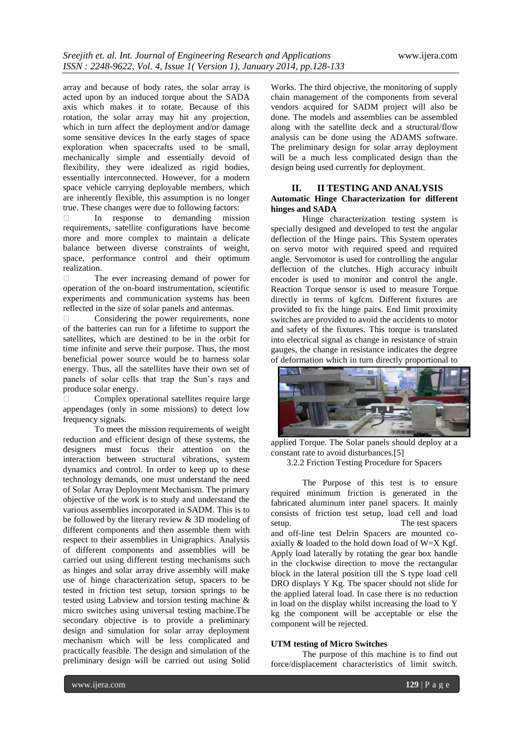array and because of body rates, the solar array is acted upon by an induced torque about the SADA axis which makes it to rotate. Because of this rotation, the solar array may hit any projection, which in turn affect the deployment and/or damage some sensitive devices In the early stages of space exploration when spacecrafts used to be small, mechanically simple and essentially devoid of flexibility, they were idealized as rigid bodies, essentially interconnected. However, for a modern space vehicle carrying deployable members, which are inherently flexible, this assumption is no longer true. These changes were due to following factors:

 In response to demanding mission requirements, satellite configurations have become more and more complex to maintain a delicate balance between diverse constraints of weight, space, performance control and their optimum realization.

 The ever increasing demand of power for operation of the on-board instrumentation, scientific experiments and communication systems has been reflected in the size of solar panels and antennas.

Considering the power requirements, none of the batteries can run for a lifetime to support the satellites, which are destined to be in the orbit for time infinite and serve their purpose. Thus, the most beneficial power source would be to harness solar energy. Thus, all the satellites have their own set of panels of solar cells that trap the Sun"s rays and produce solar energy.

 $\Box$  Complex operational satellites require large appendages (only in some missions) to detect low frequency signals.

To meet the mission requirements of weight reduction and efficient design of these systems, the designers must focus their attention on the interaction between structural vibrations, system dynamics and control. In order to keep up to these technology demands, one must understand the need of Solar Array Deployment Mechanism. The primary objective of the work is to study and understand the various assemblies incorporated in SADM. This is to be followed by the literary review & 3D modeling of different components and then assemble them with respect to their assemblies in Unigraphics. Analysis of different components and assemblies will be carried out using different testing mechanisms such as hinges and solar array drive assembly will make use of hinge characterization setup, spacers to be tested in friction test setup, torsion springs to be tested using Labview and torsion testing machine & micro switches using universal testing machine.The secondary objective is to provide a preliminary design and simulation for solar array deployment mechanism which will be less complicated and practically feasible. The design and simulation of the preliminary design will be carried out using Solid

Works. The third objective, the monitoring of supply chain management of the components from several vendors acquired for SADM project will also be done. The models and assemblies can be assembled along with the satellite deck and a structural/flow analysis can be done using the ADAMS software. The preliminary design for solar array deployment will be a much less complicated design than the design being used currently for deployment.

# **II. II TESTING AND ANALYSIS Automatic Hinge Characterization for different hinges and SADA**

Hinge characterization testing system is specially designed and developed to test the angular deflection of the Hinge pairs. This System operates on servo motor with required speed and required angle. Servomotor is used for controlling the angular deflection of the clutches. High accuracy inbuilt encoder is used to monitor and control the angle. Reaction Torque sensor is used to measure Torque directly in terms of kgfcm. Different fixtures are provided to fix the hinge pairs. End limit proximity switches are provided to avoid the accidents to motor and safety of the fixtures. This torque is translated into electrical signal as change in resistance of strain gauges, the change in resistance indicates the degree of deformation which in turn directly proportional to



applied Torque. The Solar panels should deploy at a constant rate to avoid disturbances.[5]

3.2.2 Friction Testing Procedure for Spacers

The Purpose of this test is to ensure required minimum friction is generated in the fabricated aluminum inter panel spacers. It mainly consists of friction test setup, load cell and load setup. The test spacers and off-line test Delrin Spacers are mounted coaxially  $\&$  loaded to the hold down load of W=X Kgf. Apply load laterally by rotating the gear box handle in the clockwise direction to move the rectangular block in the lateral position till the S type load cell DRO displays Y Kg. The spacer should not slide for the applied lateral load. In case there is no reduction in load on the display whilst increasing the load to Y kg the component will be acceptable or else the component will be rejected.

#### **UTM testing of Micro Switches**

The purpose of this machine is to find out force/displacement characteristics of limit switch.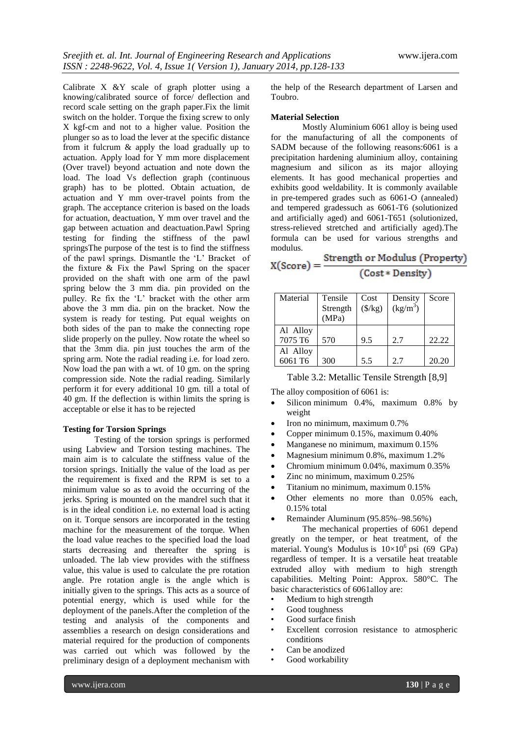Calibrate X &Y scale of graph plotter using a knowing/calibrated source of force/ deflection and record scale setting on the graph paper.Fix the limit switch on the holder. Torque the fixing screw to only X kgf-cm and not to a higher value. Position the plunger so as to load the lever at the specific distance from it fulcrum & apply the load gradually up to actuation. Apply load for Y mm more displacement (Over travel) beyond actuation and note down the load. The load Vs deflection graph (continuous graph) has to be plotted. Obtain actuation, de actuation and Y mm over-travel points from the graph. The acceptance criterion is based on the loads for actuation, deactuation, Y mm over travel and the gap between actuation and deactuation.Pawl Spring testing for finding the stiffness of the pawl springsThe purpose of the test is to find the stiffness of the pawl springs. Dismantle the "L" Bracket of the fixture & Fix the Pawl Spring on the spacer provided on the shaft with one arm of the pawl spring below the 3 mm dia. pin provided on the pulley. Re fix the "L" bracket with the other arm above the 3 mm dia. pin on the bracket. Now the system is ready for testing. Put equal weights on both sides of the pan to make the connecting rope slide properly on the pulley. Now rotate the wheel so that the 3mm dia. pin just touches the arm of the spring arm. Note the radial reading i.e. for load zero. Now load the pan with a wt. of 10 gm. on the spring compression side. Note the radial reading. Similarly perform it for every additional 10 gm. till a total of 40 gm. If the deflection is within limits the spring is acceptable or else it has to be rejected

#### **Testing for Torsion Springs**

Testing of the torsion springs is performed using Labview and Torsion testing machines. The main aim is to calculate the stiffness value of the torsion springs. Initially the value of the load as per the requirement is fixed and the RPM is set to a minimum value so as to avoid the occurring of the jerks. Spring is mounted on the mandrel such that it is in the ideal condition i.e. no external load is acting on it. Torque sensors are incorporated in the testing machine for the measurement of the torque. When the load value reaches to the specified load the load starts decreasing and thereafter the spring is unloaded. The lab view provides with the stiffness value, this value is used to calculate the pre rotation angle. Pre rotation angle is the angle which is initially given to the springs. This acts as a source of potential energy, which is used while for the deployment of the panels.After the completion of the testing and analysis of the components and assemblies a research on design considerations and material required for the production of components was carried out which was followed by the preliminary design of a deployment mechanism with

the help of the Research department of Larsen and Toubro.

#### **Material Selection**

Mostly Aluminium 6061 alloy is being used for the manufacturing of all the components of SADM because of the following reasons:6061 is a precipitation hardening aluminium alloy, containing magnesium and silicon as its major alloying elements. It has good mechanical properties and exhibits good weldability. It is commonly available in pre-tempered grades such as 6061-O (annealed) and tempered gradessuch as 6061-T6 (solutionized and artificially aged) and 6061-T651 (solutionized, stress-relieved stretched and artificially aged).The formula can be used for various strengths and modulus.

| $X(Score) =$ | Strength or Modulus (Property) |  |
|--------------|--------------------------------|--|
|              | (Cost * Density)               |  |

| Material                        | Tensile<br>Strength<br>(MPa) | Cost<br>$(\frac{5}{kg})$ | Density<br>$(kg/m^3)$ | Score |
|---------------------------------|------------------------------|--------------------------|-----------------------|-------|
| Al Alloy<br>7075 T <sub>6</sub> | 570                          | 9.5                      | 2.7                   | 22.22 |
| Al Alloy<br>6061 T6             | 300                          | 5.5                      | 2.7                   | 20.20 |

Table 3.2: Metallic Tensile Strength [8,9]

The alloy composition of 6061 is:

- Silicon minimum 0.4%, maximum 0.8% by weight
- $\bullet$  Iron no minimum, maximum 0.7%
- Copper minimum 0.15%, maximum 0.40%
- Manganese no minimum, maximum 0.15%
- Magnesium minimum 0.8%, maximum 1.2%
- Chromium minimum 0.04%, maximum 0.35%
- Zinc no minimum, maximum 0.25%
- Titanium no minimum, maximum 0.15%
- Other elements no more than 0.05% each, 0.15% total
- Remainder Aluminum (95.85%–98.56%)

The mechanical properties of 6061 depend greatly on the temper, or heat treatment, of the material. Young's Modulus is  $10\times10^6$  psi (69 GPa) regardless of temper. It is a versatile heat treatable extruded alloy with medium to high strength capabilities. Melting Point: Approx. 580°C. The basic characteristics of 6061alloy are:

- Medium to high strength
- Good toughness
- Good surface finish
- Excellent corrosion resistance to atmospheric conditions
- Can be anodized
- Good workability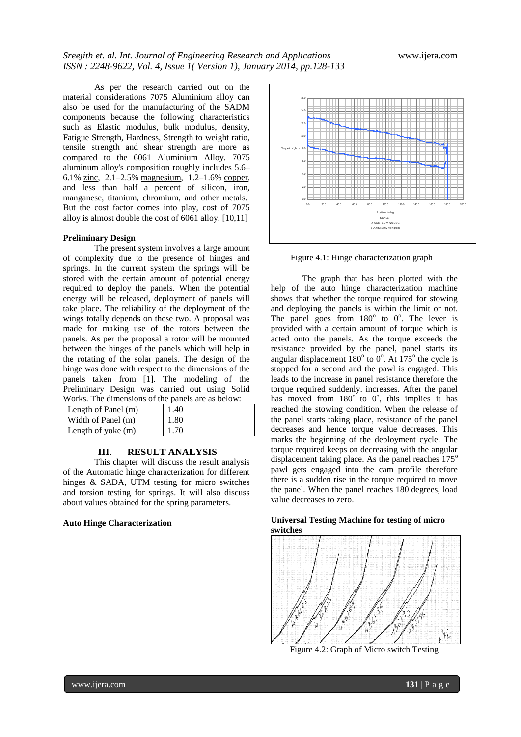As per the research carried out on the material considerations 7075 Aluminium alloy can also be used for the manufacturing of the SADM components because the following characteristics such as Elastic modulus, bulk modulus, density, Fatigue Strength, Hardness, Strength to weight ratio, tensile strength and shear strength are more as compared to the 6061 Aluminium Alloy. 7075 aluminum alloy's composition roughly includes 5.6– 6.1% zinc, 2.1–2.5% magnesium, 1.2–1.6% copper, and less than half a percent of silicon, iron, manganese, titanium, chromium, and other metals. But the cost factor comes into play, cost of 7075 alloy is almost double the cost of 6061 alloy. [10,11]

#### **Preliminary Design**

The present system involves a large amount of complexity due to the presence of hinges and springs. In the current system the springs will be stored with the certain amount of potential energy required to deploy the panels. When the potential energy will be released, deployment of panels will take place. The reliability of the deployment of the wings totally depends on these two. A proposal was made for making use of the rotors between the panels. As per the proposal a rotor will be mounted between the hinges of the panels which will help in the rotating of the solar panels. The design of the hinge was done with respect to the dimensions of the panels taken from [1]. The modeling of the Preliminary Design was carried out using Solid Works. The dimensions of the panels are as below:

| Length of Panel (m) | 1.40 |
|---------------------|------|
| Width of Panel (m)  | 1.80 |
| Length of yoke (m)  | 1.70 |

#### **III. RESULT ANALYSIS**

This chapter will discuss the result analysis of the Automatic hinge characterization for different hinges & SADA, UTM testing for micro switches and torsion testing for springs. It will also discuss about values obtained for the spring parameters.

#### **Auto Hinge Characterization**



Figure 4.1: Hinge characterization graph

The graph that has been plotted with the help of the auto hinge characterization machine shows that whether the torque required for stowing and deploying the panels is within the limit or not. The panel goes from  $180^\circ$  to  $0^\circ$ . The lever is provided with a certain amount of torque which is acted onto the panels. As the torque exceeds the resistance provided by the panel, panel starts its angular displacement  $180^\circ$  to  $0^\circ$ . At  $175^\circ$  the cycle is stopped for a second and the pawl is engaged. This leads to the increase in panel resistance therefore the torque required suddenly. increases. After the panel has moved from  $180^\circ$  to  $0^\circ$ , this implies it has reached the stowing condition. When the release of the panel starts taking place, resistance of the panel decreases and hence torque value decreases. This marks the beginning of the deployment cycle. The torque required keeps on decreasing with the angular displacement taking place. As the panel reaches  $175^\circ$ pawl gets engaged into the cam profile therefore there is a sudden rise in the torque required to move the panel. When the panel reaches 180 degrees, load value decreases to zero.

# **switches** 忧

**Universal Testing Machine for testing of micro**

Figure 4.2: Graph of Micro switch Testing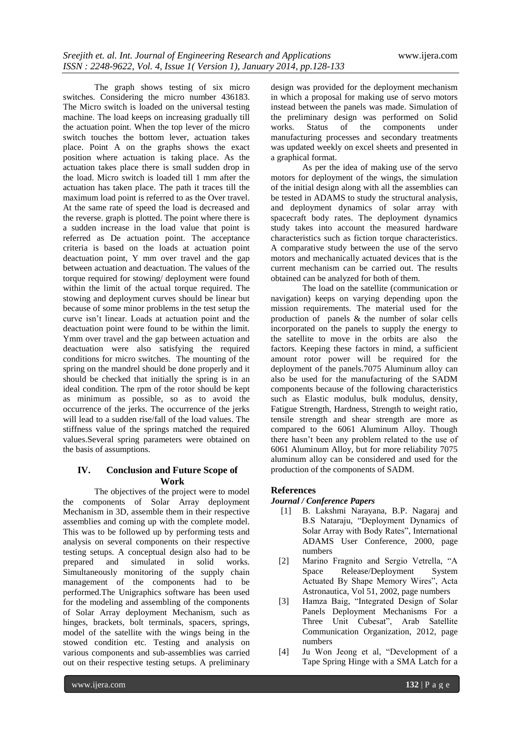The graph shows testing of six micro switches. Considering the micro number 436183. The Micro switch is loaded on the universal testing machine. The load keeps on increasing gradually till the actuation point. When the top lever of the micro switch touches the bottom lever, actuation takes place. Point A on the graphs shows the exact position where actuation is taking place. As the actuation takes place there is small sudden drop in the load. Micro switch is loaded till 1 mm after the actuation has taken place. The path it traces till the maximum load point is referred to as the Over travel. At the same rate of speed the load is decreased and the reverse. graph is plotted. The point where there is a sudden increase in the load value that point is referred as De actuation point. The acceptance criteria is based on the loads at actuation point deactuation point, Y mm over travel and the gap between actuation and deactuation. The values of the torque required for stowing/ deployment were found within the limit of the actual torque required. The stowing and deployment curves should be linear but because of some minor problems in the test setup the curve isn"t linear. Loads at actuation point and the deactuation point were found to be within the limit. Ymm over travel and the gap between actuation and deactuation were also satisfying the required conditions for micro switches. The mounting of the spring on the mandrel should be done properly and it should be checked that initially the spring is in an ideal condition. The rpm of the rotor should be kept as minimum as possible, so as to avoid the occurrence of the jerks. The occurrence of the jerks will lead to a sudden rise/fall of the load values. The stiffness value of the springs matched the required values.Several spring parameters were obtained on the basis of assumptions.

# **IV. Conclusion and Future Scope of Work**

The objectives of the project were to model the components of Solar Array deployment Mechanism in 3D, assemble them in their respective assemblies and coming up with the complete model. This was to be followed up by performing tests and analysis on several components on their respective testing setups. A conceptual design also had to be prepared and simulated in solid works. Simultaneously monitoring of the supply chain management of the components had to be performed.The Unigraphics software has been used for the modeling and assembling of the components of Solar Array deployment Mechanism, such as hinges, brackets, bolt terminals, spacers, springs, model of the satellite with the wings being in the stowed condition etc. Testing and analysis on various components and sub-assemblies was carried out on their respective testing setups. A preliminary

design was provided for the deployment mechanism in which a proposal for making use of servo motors instead between the panels was made. Simulation of the preliminary design was performed on Solid works. Status of the components under manufacturing processes and secondary treatments was updated weekly on excel sheets and presented in a graphical format.

As per the idea of making use of the servo motors for deployment of the wings, the simulation of the initial design along with all the assemblies can be tested in ADAMS to study the structural analysis, and deployment dynamics of solar array with spacecraft body rates. The deployment dynamics study takes into account the measured hardware characteristics such as fiction torque characteristics. A comparative study between the use of the servo motors and mechanically actuated devices that is the current mechanism can be carried out. The results obtained can be analyzed for both of them.

The load on the satellite (communication or navigation) keeps on varying depending upon the mission requirements. The material used for the production of panels & the number of solar cells incorporated on the panels to supply the energy to the satellite to move in the orbits are also the factors. Keeping these factors in mind, a sufficient amount rotor power will be required for the deployment of the panels.7075 Aluminum alloy can also be used for the manufacturing of the SADM components because of the following characteristics such as Elastic modulus, bulk modulus, density, Fatigue Strength, Hardness, Strength to weight ratio, tensile strength and shear strength are more as compared to the 6061 Aluminum Alloy. Though there hasn"t been any problem related to the use of 6061 Aluminum Alloy, but for more reliability 7075 aluminum alloy can be considered and used for the production of the components of SADM.

# **References**

# *Journal / Conference Papers*

- [1] B. Lakshmi Narayana, B.P. Nagaraj and B.S Nataraju, "Deployment Dynamics of Solar Array with Body Rates", International ADAMS User Conference, 2000, page numbers
- [2] Marino Fragnito and Sergio Vetrella, "A Space Release/Deployment System Actuated By Shape Memory Wires", Acta Astronautica, Vol 51, 2002, page numbers
- [3] Hamza Baig, "Integrated Design of Solar Panels Deployment Mechanisms For a Three Unit Cubesat", Arab Satellite Communication Organization, 2012, page numbers
- [4] Ju Won Jeong et al, "Development of a Tape Spring Hinge with a SMA Latch for a